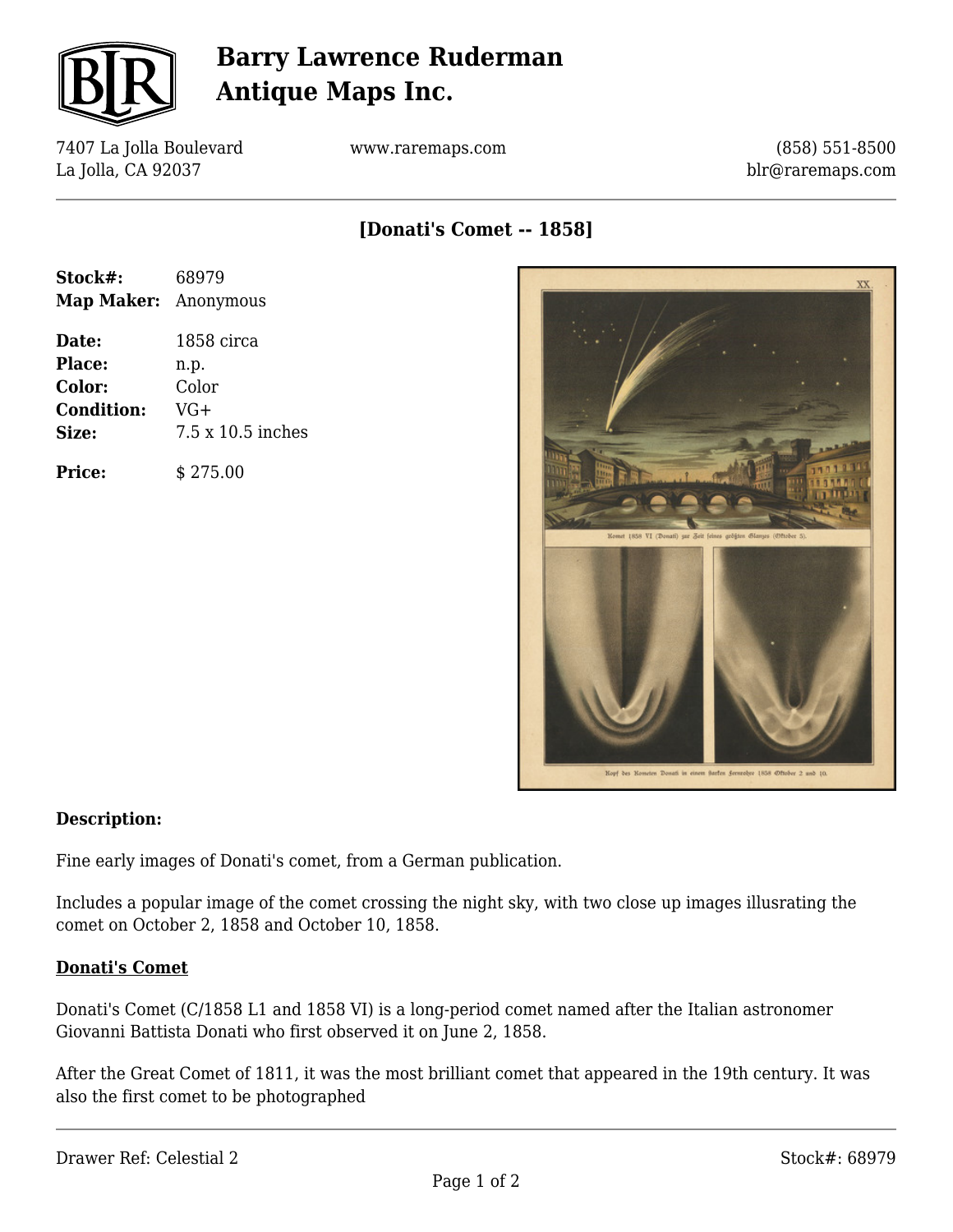

# **Barry Lawrence Ruderman Antique Maps Inc.**

7407 La Jolla Boulevard La Jolla, CA 92037

www.raremaps.com

(858) 551-8500 blr@raremaps.com

**[Donati's Comet -- 1858]**

| Stock#:<br><b>Map Maker:</b> Anonymous | 68979             |
|----------------------------------------|-------------------|
|                                        |                   |
| <b>Place:</b>                          | n.p.              |
| Color:                                 | Color             |
| <b>Condition:</b>                      | VG+               |
| Size:                                  | 7.5 x 10.5 inches |
| <b>Price:</b>                          | \$275.00          |



#### **Description:**

Fine early images of Donati's comet, from a German publication.

Includes a popular image of the comet crossing the night sky, with two close up images illusrating the comet on October 2, 1858 and October 10, 1858.

#### **Donati's Comet**

Donati's Comet (C/1858 L1 and 1858 VI) is a long-period comet named after the Italian astronomer Giovanni Battista Donati who first observed it on June 2, 1858.

After the Great Comet of 1811, it was the most brilliant comet that appeared in the 19th century. It was also the first comet to be photographed